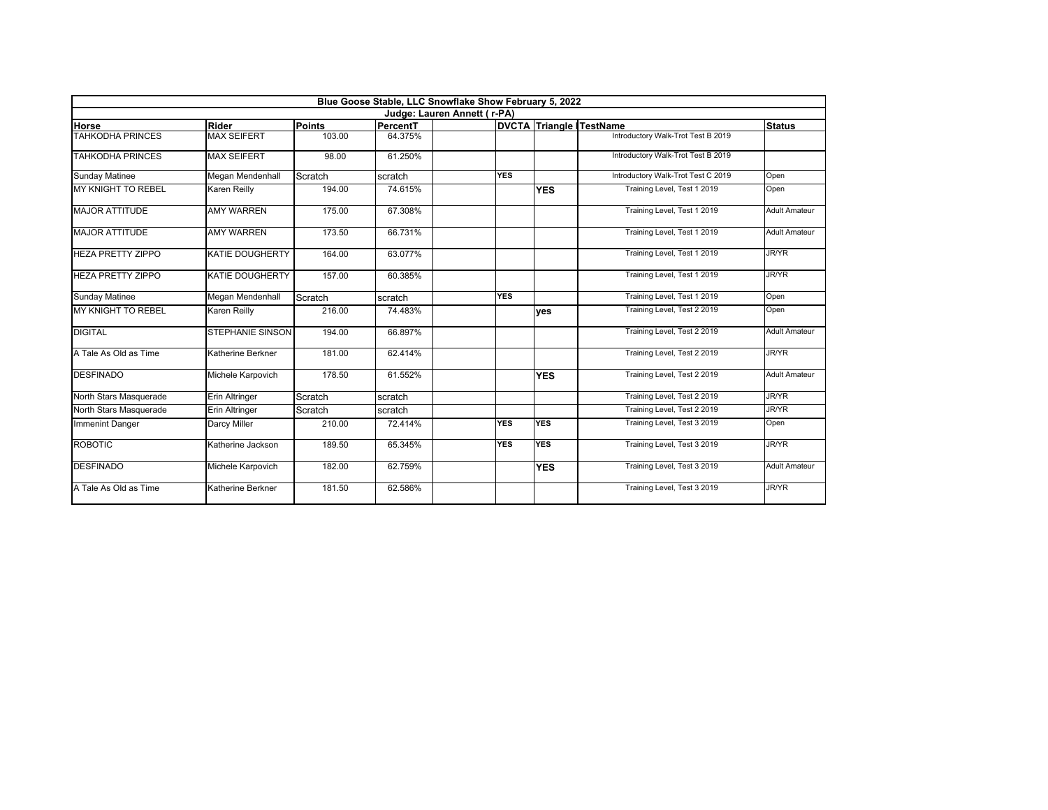| Blue Goose Stable, LLC Snowflake Show February 5, 2022<br>Judge: Lauren Annett (r-PA) |                         |         |         |            |            |                                    |                      |  |  |
|---------------------------------------------------------------------------------------|-------------------------|---------|---------|------------|------------|------------------------------------|----------------------|--|--|
|                                                                                       |                         |         |         |            |            |                                    |                      |  |  |
| TAHKODHA PRINCES                                                                      | <b>MAX SEIFERT</b>      | 103.00  | 64.375% |            |            | Introductory Walk-Trot Test B 2019 |                      |  |  |
| <b>TAHKODHA PRINCES</b>                                                               | <b>MAX SEIFERT</b>      | 98.00   | 61.250% |            |            | Introductory Walk-Trot Test B 2019 |                      |  |  |
| <b>Sunday Matinee</b>                                                                 | Megan Mendenhall        | Scratch | scratch | <b>YES</b> |            | Introductory Walk-Trot Test C 2019 | Open                 |  |  |
| <b>MY KNIGHT TO REBEL</b>                                                             | Karen Reilly            | 194.00  | 74.615% |            | <b>YES</b> | Training Level, Test 1 2019        | Open                 |  |  |
| <b>MAJOR ATTITUDE</b>                                                                 | <b>AMY WARREN</b>       | 175.00  | 67.308% |            |            | Training Level, Test 1 2019        | <b>Adult Amateur</b> |  |  |
| <b>MAJOR ATTITUDE</b>                                                                 | <b>AMY WARREN</b>       | 173.50  | 66.731% |            |            | Training Level, Test 1 2019        | <b>Adult Amateur</b> |  |  |
| <b>HEZA PRETTY ZIPPO</b>                                                              | <b>KATIE DOUGHERTY</b>  | 164.00  | 63.077% |            |            | Training Level, Test 1 2019        | <b>JR/YR</b>         |  |  |
| <b>HEZA PRETTY ZIPPO</b>                                                              | <b>KATIE DOUGHERTY</b>  | 157.00  | 60.385% |            |            | Training Level, Test 1 2019        | <b>JR/YR</b>         |  |  |
| <b>Sunday Matinee</b>                                                                 | Megan Mendenhall        | Scratch | scratch | <b>YES</b> |            | Training Level, Test 1 2019        | Open                 |  |  |
| MY KNIGHT TO REBEL                                                                    | Karen Reilly            | 216.00  | 74.483% |            | <b>ves</b> | Training Level, Test 2 2019        | Open                 |  |  |
| <b>DIGITAL</b>                                                                        | <b>STEPHANIE SINSON</b> | 194.00  | 66.897% |            |            | Training Level, Test 2 2019        | <b>Adult Amateur</b> |  |  |
| A Tale As Old as Time                                                                 | Katherine Berkner       | 181.00  | 62.414% |            |            | Training Level, Test 2 2019        | <b>JR/YR</b>         |  |  |
| <b>DESFINADO</b>                                                                      | Michele Karpovich       | 178.50  | 61.552% |            | <b>YES</b> | Training Level, Test 2 2019        | <b>Adult Amateur</b> |  |  |
| North Stars Masquerade                                                                | <b>Erin Altringer</b>   | Scratch | scratch |            |            | Training Level, Test 2 2019        | JR/YR                |  |  |
| North Stars Masquerade                                                                | Erin Altringer          | Scratch | scratch |            |            | Training Level, Test 2 2019        | <b>JR/YR</b>         |  |  |
| Immenint Danger                                                                       | <b>Darcy Miller</b>     | 210.00  | 72.414% | <b>YES</b> | <b>YES</b> | Training Level, Test 3 2019        | Open                 |  |  |
| <b>ROBOTIC</b>                                                                        | Katherine Jackson       | 189.50  | 65.345% | <b>YES</b> | <b>YES</b> | Training Level, Test 3 2019        | <b>JR/YR</b>         |  |  |
| <b>DESFINADO</b>                                                                      | Michele Karpovich       | 182.00  | 62.759% |            | <b>YES</b> | Training Level, Test 3 2019        | <b>Adult Amateur</b> |  |  |
| A Tale As Old as Time                                                                 | Katherine Berkner       | 181.50  | 62.586% |            |            | Training Level, Test 3 2019        | <b>JR/YR</b>         |  |  |
|                                                                                       |                         |         |         |            |            |                                    |                      |  |  |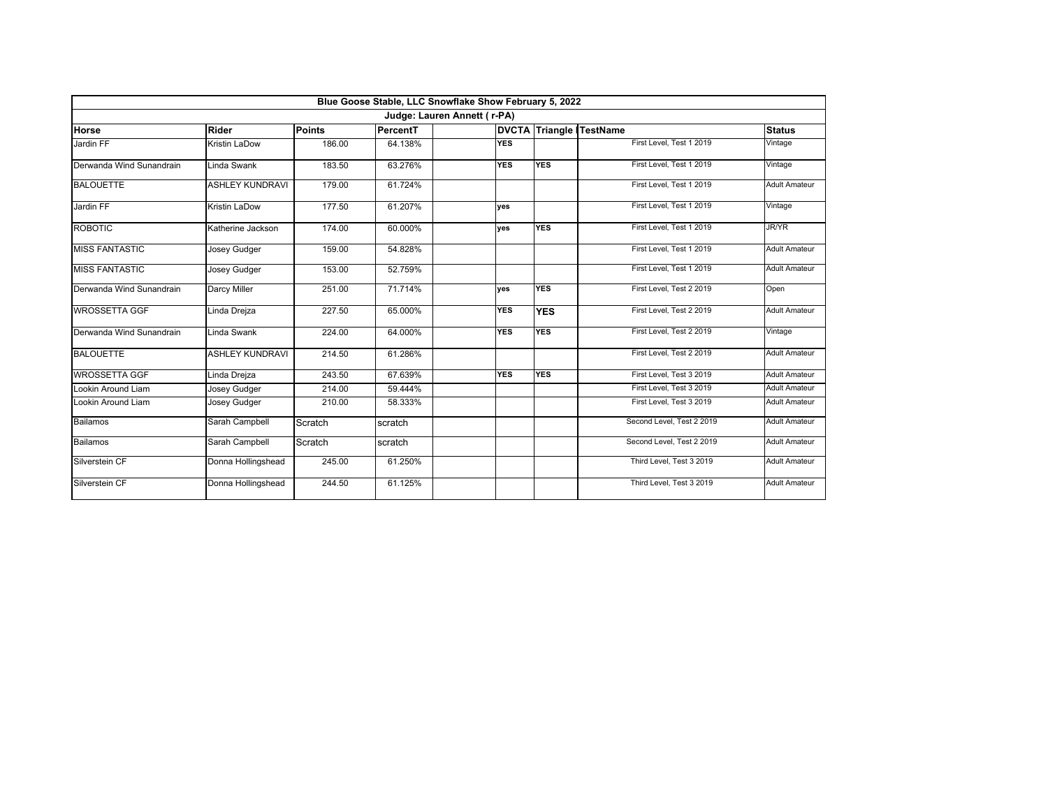|                             |                        |               | Blue Goose Stable, LLC Snowflake Show February 5, 2022 |            |            |                                |                      |  |  |
|-----------------------------|------------------------|---------------|--------------------------------------------------------|------------|------------|--------------------------------|----------------------|--|--|
| Judge: Lauren Annett (r-PA) |                        |               |                                                        |            |            |                                |                      |  |  |
| Horse                       | Rider                  | <b>Points</b> | PercentT                                               |            |            | <b>DVCTA Triangle TestName</b> | <b>Status</b>        |  |  |
| Jardin FF                   | Kristin LaDow          | 186.00        | 64.138%                                                | <b>YES</b> |            | First Level, Test 1 2019       | Vintage              |  |  |
| Derwanda Wind Sunandrain    | Linda Swank            | 183.50        | 63.276%                                                | <b>YES</b> | <b>YES</b> | First Level, Test 1 2019       | Vintage              |  |  |
| <b>BALOUETTE</b>            | <b>ASHLEY KUNDRAVI</b> | 179.00        | 61.724%                                                |            |            | First Level, Test 1 2019       | <b>Adult Amateur</b> |  |  |
| Jardin FF                   | Kristin LaDow          | 177.50        | 61.207%                                                | ves        |            | First Level, Test 1 2019       | Vintage              |  |  |
| <b>ROBOTIC</b>              | Katherine Jackson      | 174.00        | 60.000%                                                | ves        | <b>YES</b> | First Level, Test 1 2019       | <b>JR/YR</b>         |  |  |
| <b>MISS FANTASTIC</b>       | <b>Josey Gudger</b>    | 159.00        | 54.828%                                                |            |            | First Level, Test 1 2019       | <b>Adult Amateur</b> |  |  |
| <b>MISS FANTASTIC</b>       | <b>Josey Gudger</b>    | 153.00        | 52.759%                                                |            |            | First Level, Test 1 2019       | <b>Adult Amateur</b> |  |  |
| Derwanda Wind Sunandrain    | Darcy Miller           | 251.00        | 71.714%                                                | ves        | <b>YES</b> | First Level, Test 2 2019       | Open                 |  |  |
| <b>WROSSETTA GGF</b>        | Linda Drejza           | 227.50        | 65.000%                                                | <b>YES</b> | <b>YES</b> | First Level, Test 2 2019       | <b>Adult Amateur</b> |  |  |
| Derwanda Wind Sunandrain    | Linda Swank            | 224.00        | 64.000%                                                | <b>YES</b> | <b>YES</b> | First Level, Test 2 2019       | Vintage              |  |  |
| <b>BALOUETTE</b>            | <b>ASHLEY KUNDRAVI</b> | 214.50        | 61.286%                                                |            |            | First Level, Test 2 2019       | <b>Adult Amateur</b> |  |  |
| <b>WROSSETTA GGF</b>        | Linda Drejza           | 243.50        | 67.639%                                                | <b>YES</b> | <b>YES</b> | First Level. Test 3 2019       | <b>Adult Amateur</b> |  |  |
| Lookin Around Liam          | <b>Josey Gudger</b>    | 214.00        | 59.444%                                                |            |            | First Level, Test 3 2019       | <b>Adult Amateur</b> |  |  |
| Lookin Around Liam          | Josey Gudger           | 210.00        | 58.333%                                                |            |            | First Level. Test 3 2019       | <b>Adult Amateur</b> |  |  |
| <b>Bailamos</b>             | Sarah Campbell         | Scratch       | scratch                                                |            |            | Second Level, Test 2 2019      | <b>Adult Amateur</b> |  |  |
| Bailamos                    | Sarah Campbell         | Scratch       | scratch                                                |            |            | Second Level, Test 2 2019      | <b>Adult Amateur</b> |  |  |
| Silverstein CF              | Donna Hollingshead     | 245.00        | 61.250%                                                |            |            | Third Level, Test 3 2019       | <b>Adult Amateur</b> |  |  |
| Silverstein CF              | Donna Hollingshead     | 244.50        | 61.125%                                                |            |            | Third Level, Test 3 2019       | <b>Adult Amateur</b> |  |  |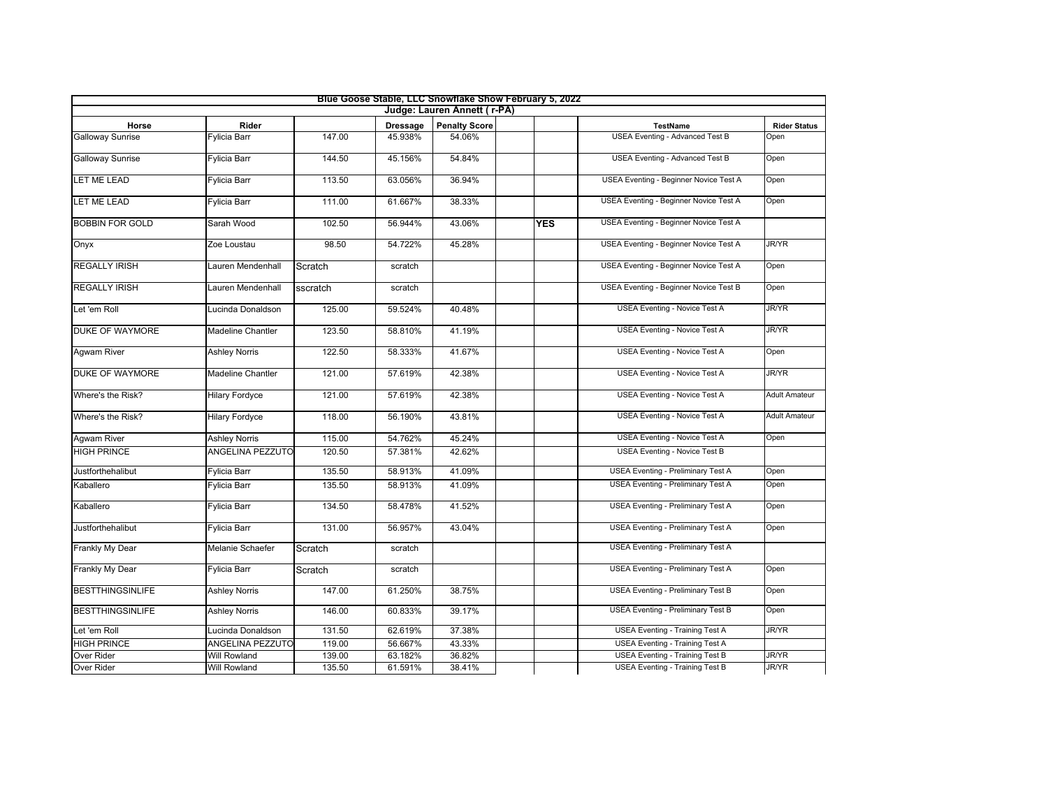|                         |                          |          |                 | Blue Goose Stable, LLC Snowflake Show February 5, 2022 |            |                                                           |                      |
|-------------------------|--------------------------|----------|-----------------|--------------------------------------------------------|------------|-----------------------------------------------------------|----------------------|
|                         |                          |          |                 | Judge: Lauren Annett ( r-PA)                           |            |                                                           |                      |
| Horse                   | Rider                    |          | <b>Dressage</b> | <b>Penalty Score</b>                                   |            | <b>TestName</b><br><b>USEA Eventing - Advanced Test B</b> | <b>Rider Status</b>  |
| <b>Galloway Sunrise</b> | Fylicia Barr             | 147.00   | 45.938%         | 54.06%                                                 |            |                                                           | Open                 |
| <b>Galloway Sunrise</b> | Fylicia Barr             | 144.50   | 45.156%         | 54.84%                                                 |            | <b>USEA Eventing - Advanced Test B</b>                    | Open                 |
| <b>LET ME LEAD</b>      | Fylicia Barr             | 113.50   | 63.056%         | 36.94%                                                 |            | USEA Eventing - Beginner Novice Test A                    | Open                 |
| LET ME LEAD             | Fylicia Barr             | 111.00   | 61.667%         | 38.33%                                                 |            | USEA Eventing - Beginner Novice Test A                    | Open                 |
| <b>BOBBIN FOR GOLD</b>  | Sarah Wood               | 102.50   | 56.944%         | 43.06%                                                 | <b>YES</b> | USEA Eventing - Beginner Novice Test A                    |                      |
| Onyx                    | Zoe Loustau              | 98.50    | 54.722%         | 45.28%                                                 |            | USEA Eventing - Beginner Novice Test A                    | <b>JR/YR</b>         |
| <b>REGALLY IRISH</b>    | Lauren Mendenhall        | Scratch  | scratch         |                                                        |            | USEA Eventing - Beginner Novice Test A                    | Open                 |
| <b>REGALLY IRISH</b>    | Lauren Mendenhall        | sscratch | scratch         |                                                        |            | USEA Eventing - Beginner Novice Test B                    | Open                 |
| Let 'em Roll            | Lucinda Donaldson        | 125.00   | 59.524%         | 40.48%                                                 |            | USEA Eventing - Novice Test A                             | <b>JR/YR</b>         |
| <b>DUKE OF WAYMORE</b>  | <b>Madeline Chantler</b> | 123.50   | 58.810%         | 41.19%                                                 |            | USEA Eventing - Novice Test A                             | <b>JR/YR</b>         |
| Agwam River             | <b>Ashley Norris</b>     | 122.50   | 58.333%         | 41.67%                                                 |            | <b>USEA Eventing - Novice Test A</b>                      | Open                 |
| <b>DUKE OF WAYMORE</b>  | <b>Madeline Chantler</b> | 121.00   | 57.619%         | 42.38%                                                 |            | USEA Eventing - Novice Test A                             | <b>JR/YR</b>         |
| Where's the Risk?       | <b>Hilary Fordyce</b>    | 121.00   | 57.619%         | 42.38%                                                 |            | USEA Eventing - Novice Test A                             | <b>Adult Amateur</b> |
| Where's the Risk?       | <b>Hilary Fordyce</b>    | 118.00   | 56.190%         | 43.81%                                                 |            | USEA Eventing - Novice Test A                             | <b>Adult Amateur</b> |
| Agwam River             | <b>Ashley Norris</b>     | 115.00   | 54.762%         | 45.24%                                                 |            | <b>USEA Eventing - Novice Test A</b>                      | Open                 |
| <b>HIGH PRINCE</b>      | ANGELINA PEZZUTO         | 120.50   | 57.381%         | 42.62%                                                 |            | <b>USEA Eventing - Novice Test B</b>                      |                      |
| Justforthehalibut       | Fylicia Barr             | 135.50   | 58.913%         | 41.09%                                                 |            | <b>USEA Eventing - Preliminary Test A</b>                 | Open                 |
| Kaballero               | Fylicia Barr             | 135.50   | 58.913%         | 41.09%                                                 |            | <b>USEA Eventing - Preliminary Test A</b>                 | Open                 |
| Kaballero               | Fylicia Barr             | 134.50   | 58.478%         | 41.52%                                                 |            | <b>USEA Eventing - Preliminary Test A</b>                 | Open                 |
| Justforthehalibut       | Fylicia Barr             | 131.00   | 56.957%         | 43.04%                                                 |            | <b>USEA Eventing - Preliminary Test A</b>                 | Open                 |
| Frankly My Dear         | Melanie Schaefer         | Scratch  | scratch         |                                                        |            | <b>USEA Eventing - Preliminary Test A</b>                 |                      |
| Frankly My Dear         | Fylicia Barr             | Scratch  | scratch         |                                                        |            | <b>USEA Eventing - Preliminary Test A</b>                 | Open                 |
| <b>BESTTHINGSINLIFE</b> | <b>Ashley Norris</b>     | 147.00   | 61.250%         | 38.75%                                                 |            | <b>USEA Eventing - Preliminary Test B</b>                 | Open                 |
| <b>BESTTHINGSINLIFE</b> | <b>Ashley Norris</b>     | 146.00   | 60.833%         | 39.17%                                                 |            | <b>USEA Eventing - Preliminary Test B</b>                 | Open                 |
| Let 'em Roll            | Lucinda Donaldson        | 131.50   | 62.619%         | 37.38%                                                 |            | <b>USEA Eventing - Training Test A</b>                    | <b>JR/YR</b>         |
| <b>HIGH PRINCE</b>      | ANGELINA PEZZUTO         | 119.00   | 56.667%         | 43.33%                                                 |            | <b>USEA Eventing - Training Test A</b>                    |                      |
| Over Rider              | <b>Will Rowland</b>      | 139.00   | 63.182%         | 36.82%                                                 |            | <b>USEA Eventing - Training Test B</b>                    | <b>JR/YR</b>         |
| Over Rider              | <b>Will Rowland</b>      | 135.50   | 61.591%         | 38.41%                                                 |            | <b>USEA Eventing - Training Test B</b>                    | <b>JR/YR</b>         |